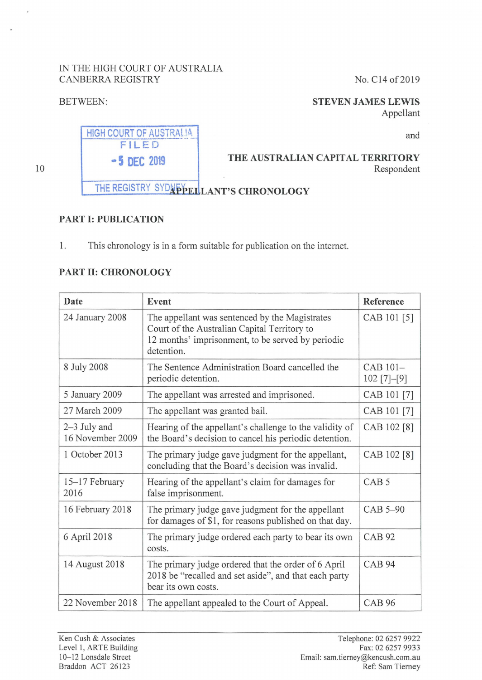## IN THE HIGH COURT OF AUSTRALIA CANBERRA REGISTRY No. C14 of 2019

## BETWEEN:

## **STEVEN JAMES LEWIS**

Appellant



10

# THE REGISTRY SYDNEY LANT'S CHRONOLOGY

## **PART I: PUBLICATION**

1. This chronology is in a form suitable for publication on the internet.

## **PART II: CHRONOLOGY**

| Date                             | Event                                                                                                                                                             | Reference                 |
|----------------------------------|-------------------------------------------------------------------------------------------------------------------------------------------------------------------|---------------------------|
| 24 January 2008                  | The appellant was sentenced by the Magistrates<br>Court of the Australian Capital Territory to<br>12 months' imprisonment, to be served by periodic<br>detention. | CAB 101 [5]               |
| 8 July 2008                      | The Sentence Administration Board cancelled the<br>periodic detention.                                                                                            | CAB 101-<br>$102$ [7]-[9] |
| 5 January 2009                   | The appellant was arrested and imprisoned.                                                                                                                        | CAB 101 [7]               |
| 27 March 2009                    | The appellant was granted bail.                                                                                                                                   | CAB 101 [7]               |
| 2-3 July and<br>16 November 2009 | Hearing of the appellant's challenge to the validity of<br>the Board's decision to cancel his periodic detention.                                                 | CAB 102 [8]               |
| 1 October 2013                   | The primary judge gave judgment for the appellant,<br>concluding that the Board's decision was invalid.                                                           | CAB 102 [8]               |
| 15-17 February<br>2016           | Hearing of the appellant's claim for damages for<br>false imprisonment.                                                                                           | CAB <sub>5</sub>          |
| 16 February 2018                 | The primary judge gave judgment for the appellant<br>for damages of \$1, for reasons published on that day.                                                       | CAB 5-90                  |
| 6 April 2018                     | The primary judge ordered each party to bear its own<br>costs.                                                                                                    | <b>CAB 92</b>             |
| 14 August 2018                   | The primary judge ordered that the order of 6 April<br>2018 be "recalled and set aside", and that each party<br>bear its own costs.                               | <b>CAB 94</b>             |
| 22 November 2018                 | The appellant appealed to the Court of Appeal.                                                                                                                    | <b>CAB 96</b>             |